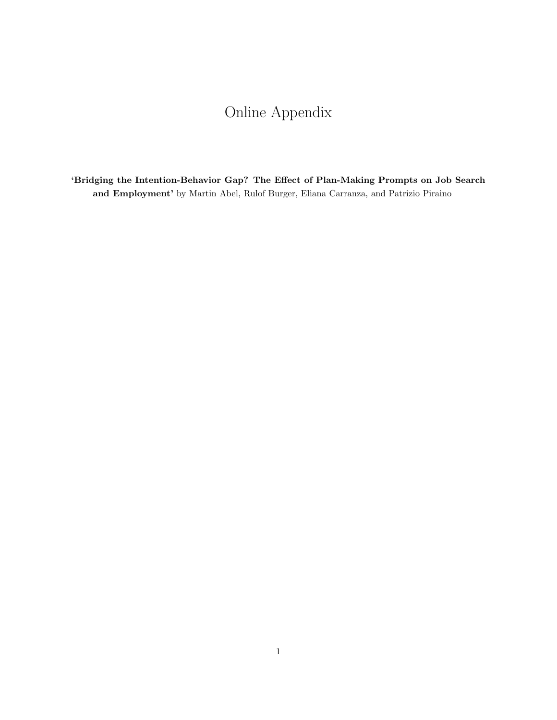## Online Appendix

'Bridging the Intention-Behavior Gap? The Effect of Plan-Making Prompts on Job Search and Employment' by Martin Abel, Rulof Burger, Eliana Carranza, and Patrizio Piraino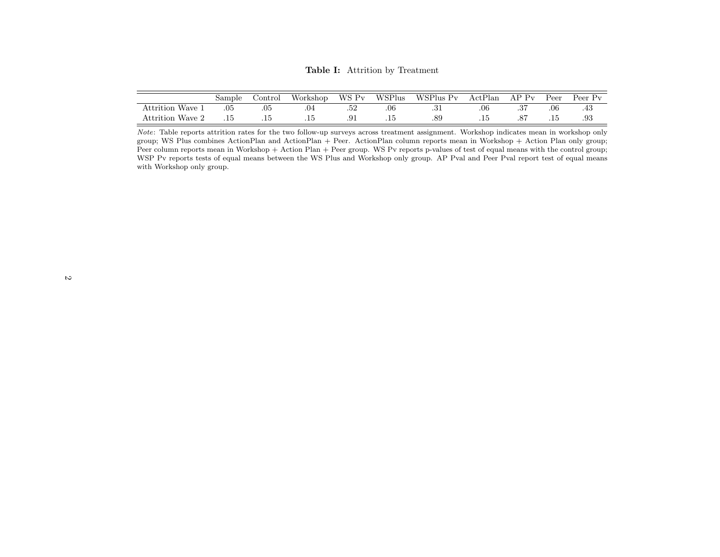Table I: Attrition by Treatment

|                          | Sample | Jontrol | Workshop | WS Pv      | WSPlus | WSPlus Pv | ActPlan | $P_{V}$ | Peer  | Peer Pv |
|--------------------------|--------|---------|----------|------------|--------|-----------|---------|---------|-------|---------|
| Wave.<br>$\rm Attrition$ | .05    | .05     |          | ، ب        | .06    | ۰∪۰       | .06     |         | .06   | .40     |
| Attrition Wave           |        | ن 1۰    | .⊥u      | $\cdot$ vi | ن 1۰   | .89       |         |         | . I J | .93     |

Note: Table reports attrition rates for the two follow-up surveys across treatment assignment. Workshop indicates mean in workshop only group; WS Plus combines ActionPlan and ActionPlan + Peer. ActionPlan column reports mean in Workshop + Action Plan only group; Peer column reports mean in Workshop + Action Plan + Peer group. WS Pv reports p-values of test of equal means with the control group; WSP Pv reports tests of equal means between the WS Plus and Workshop only group. AP Pval and Peer Pval report test of equal meanswith Workshop only group.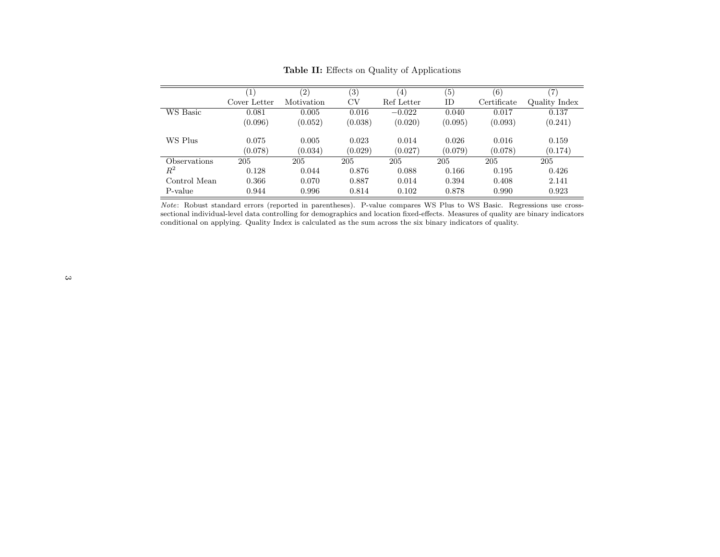|              |              | (2)        | (3)     | $\left(4\right)$ | (5)     | (6)         | (7            |
|--------------|--------------|------------|---------|------------------|---------|-------------|---------------|
|              | Cover Letter | Motivation | CV      | Ref Letter       | ID      | Certificate | Quality Index |
| WS Basic     | 0.081        | 0.005      | 0.016   | $-0.022$         | 0.040   | 0.017       | 0.137         |
|              | (0.096)      | (0.052)    | (0.038) | (0.020)          | (0.095) | (0.093)     | (0.241)       |
| WS Plus      | 0.075        | 0.005      | 0.023   | 0.014            | 0.026   | 0.016       | 0.159         |
|              | (0.078)      | (0.034)    | (0.029) | (0.027)          | (0.079) | (0.078)     | (0.174)       |
| Observations | 205          | 205        | 205     | 205              | 205     | 205         | 205           |
| $R^2$        | 0.128        | 0.044      | 0.876   | 0.088            | 0.166   | 0.195       | 0.426         |
| Control Mean | 0.366        | 0.070      | 0.887   | 0.014            | 0.394   | 0.408       | 2.141         |
| P-value      | 0.944        | 0.996      | 0.814   | 0.102            | 0.878   | 0.990       | 0.923         |

Table II: Effects on Quality of Applications

Note: Robust standard errors (reported in parentheses). P-value compares WS Plus to WS Basic. Regressions use crosssectional individual-level data controlling for demographics and location fixed-effects. Measures of quality are binary indicatorsconditional on applying. Quality Index is calculated as the sum across the six binary indicators of quality.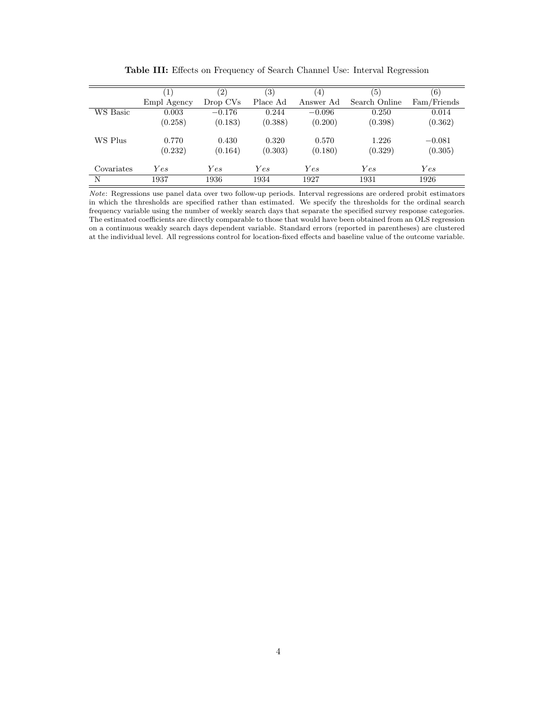|            | $\left  \right $ | (2)      | (3)      | (4)       | (5)           | (6)         |
|------------|------------------|----------|----------|-----------|---------------|-------------|
|            | Empl Agency      | Drop CVs | Place Ad | Answer Ad | Search Online | Fam/Friends |
| WS Basic   | 0.003            | $-0.176$ | 0.244    | $-0.096$  | 0.250         | 0.014       |
|            | (0.258)          | (0.183)  | (0.388)  | (0.200)   | (0.398)       | (0.362)     |
| WS Plus    | 0.770            | 0.430    | 0.320    | 0.570     | 1.226         | $-0.081$    |
|            | (0.232)          | (0.164)  | (0.303)  | (0.180)   | (0.329)       | (0.305)     |
| Covariates | Yes              | Yes      | Yes      | Yes       | Yes           | Yes         |
| N          | 1937             | 1936     | 1934     | 1927      | 1931          | 1926        |

Table III: Effects on Frequency of Search Channel Use: Interval Regression

Note: Regressions use panel data over two follow-up periods. Interval regressions are ordered probit estimators in which the thresholds are specified rather than estimated. We specify the thresholds for the ordinal search frequency variable using the number of weekly search days that separate the specified survey response categories. The estimated coefficients are directly comparable to those that would have been obtained from an OLS regression on a continuous weakly search days dependent variable. Standard errors (reported in parentheses) are clustered at the individual level. All regressions control for location-fixed effects and baseline value of the outcome variable.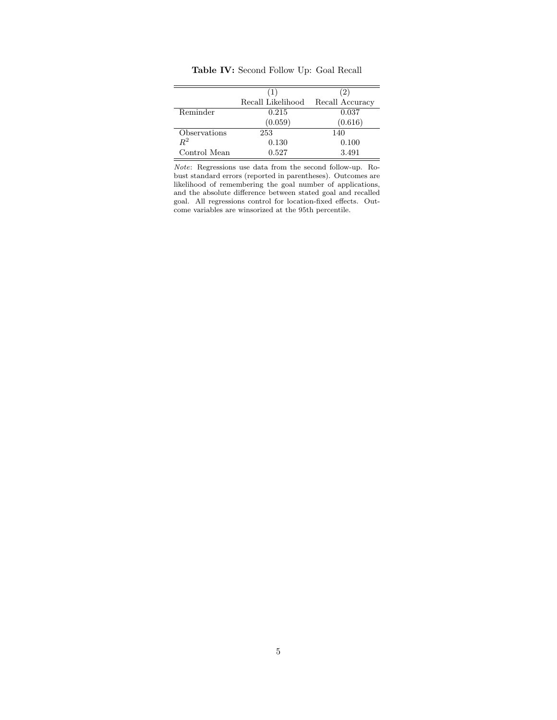|              | (1)               | (2)             |
|--------------|-------------------|-----------------|
|              | Recall Likelihood | Recall Accuracy |
| Reminder     | 0.215             | 0.037           |
|              | (0.059)           | (0.616)         |
| Observations | 253               | 140             |
| $R^2$        | 0.130             | 0.100           |
| Control Mean | 0.527             | 3.491           |

Table IV: Second Follow Up: Goal Recall

Note: Regressions use data from the second follow-up. Robust standard errors (reported in parentheses). Outcomes are likelihood of remembering the goal number of applications, and the absolute difference between stated goal and recalled goal. All regressions control for location-fixed effects. Outcome variables are winsorized at the 95th percentile.